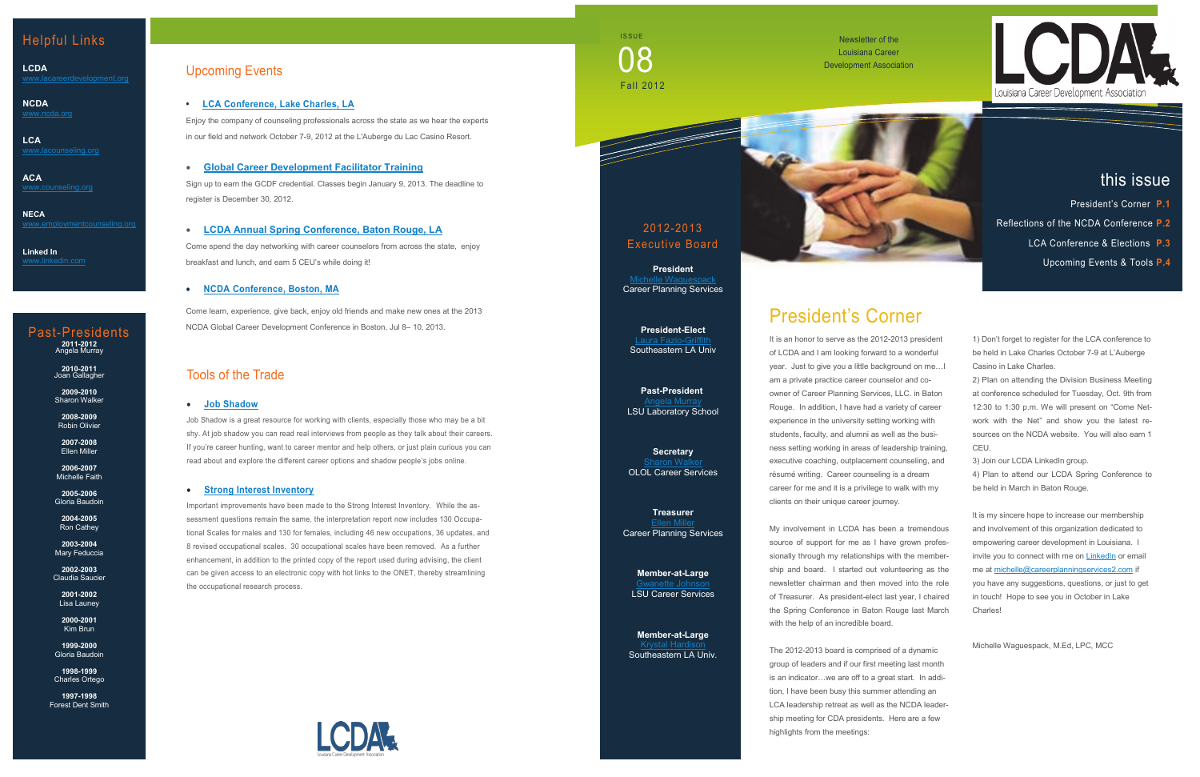## Upcoming Events

**• [LCA Conference, Lake Charles, LA](http://www.lacounseling.org/index.php?option=com_content&view=article&id=545&Itemid=309)**

Enjoy the company of counseling professionals across the state as we hear the experts in our field and network October 7 -9, 2012 at the L'Auberge du Lac Casino Resort.

**[Global Career Development Facilitator Training](http://www.employmentcounseling.org/Event-GCDF.aspx)**

Sign up to earn the GCDF credential. Classes begin January 9, 2013. The deadline to register is December 30, 2012.

 **[LCDA Annual Spring Conference, Baton Rouge, LA](http://www.lacareerdevelopment.org/conference.html)** Come spend the day networking with career counselors from across the state, enjoy breakfast and lunch, and earn 5 CEU's while doing it!

### **[NCDA Conference, Boston, MA](http://associationdatabase.com/aws/NCDA/pt/sp/conference_info)**

Come learn, experience, give back, enjoy old friends and make new ones at the 2013 NCDA Global Career Development Conference in Boston, Jul 8 – 10, 2013.

Newsletter of the Louisiana Career Development Association

## Helpful Links

**LCDA**

**NCDA** [www.ncda.org](http://www.ncda.org)

**LCA** [www.lacounseling.org](http://www.lacounseling.org)

**ACA**

**NECA** [www.employmentcounseling.org](http://www.employmentcounseling.org)

**Linked In**

## 2012 -2013 Executive Board

**President** [Michelle Waguespack](mailto:michelle@careerplanningservices2.com) Career Planning Services

**President -Elect** [Laura Fazio](mailto:laura.fazio-griffith@selu.edu) -Griffith Southeastern LA Univ

**Past -President** [Angela Murray](mailto:amurray@lsu.edu) LSU Laboratory School

**Secretary [Sharon Walker](mailto:Sharon.Walker@ololcollege.edu)** OLOL Career Services

**Treasurer [Ellen Miller](mailto:ellen@careerplanningservices2.com)** Career Planning Services

**Member -at -Large**  [Gwanette Johnson](mailto:gjohnso3@lsu.edu) LSU Career Services

**Member -at -Large** [Krystal Hardison](mailto:khardison@selu.edu) Southeastern LA Univ.



# President's Corner

It is an honor to serve as the 2012 -2013 president of LCDA and I am looking forward to a wonderful year. Just to give you a little background on me…I am a private practice career counselor and co owner of Career Planning Services, LLC. in Baton Rouge. In addition, I have had a variety of career experience in the university setting working with students, faculty, and alumni as well as the business setting working in areas of leadership training, executive coaching, outplacement counseling, and résumé writing. Career counseling is a dream career for me and it is a privilege to walk with my clients on their unique career journey.

**ISSUE** Fall 2012 08

> My involvement in LCDA has been a tremendous source of support for me as I have grown professionally through my relationships with the membership and board. I started out volunteering as the newsletter chairman and then moved into the role of Treasurer. As president-elect last year, I chaired the Spring Conference in Baton Rouge last March with the help of an incredible board.

The 2012 -2013 board is comprised of a dynamic group of leaders and if our first meeting last month is an indicator…we are off to a great start. In addition, I have been busy this summer attending an LCA leadership retreat as well as the NCDA leadership meeting for CDA presidents. Here are a few highlights from the meetings:



1) Don't forget to register for the LCA conference to be held in Lake Charles October 7 -9 at L'Auberge Casino in Lake Charles.

2) Plan on attending the Division Business Meeting at conference scheduled for Tuesday, Oct. 9th from 12:30 to 1:30 p.m. We will present on "Come Network with the Net" and show you the latest resources on the NCDA website. You will also earn 1 CEU.

3) Join our LCDA LinkedIn group.

4) Plan to attend our LCDA Spring Conference to be held in March in Baton Rouge.

It is my sincere hope to increase our membership and involvement of this organization dedicated to empowering career development in Louisiana. I invite you to connect with me on **[LinkedIn](http://www.linkedin.com/in/michellewaguespack)** or email me at [michelle@careerplanningservices2.com](mailto:michelle@careerplanningservices2.com) if you have any suggestions, questions, or just to get in touch! Hope to see you in October in Lake Charles!

Michelle Waguespack, M.Ed, LPC, MCC

# this issue

- President's Corner **P.1**
- Reflections of the NCDA Conference **P.2**
	- LCA Conference & Elections **P.3**
		- Upcoming Events & Tools **P.4**

## Tools of the Trade

### **[Job Shadow](http://www.jobshadow.com/)**

Job Shadow is a great resource for working with clients, especially those who may be a bit shy. At job shadow you can read real interviews from people as they talk about their careers. If you're career hunting, want to career mentor and help others, or just plain curious you can read about and explore the different career options and shadow people's jobs online.

#### **[Strong Interest Inventory](https://www.cpp.com/products/strong/index.aspx)**

Important improvements have been made to the Strong Interest Inventory. While the assessment questions remain the same, the interpretation report now includes 130 Occupational Scales for males and 130 for females, including 46 new occupations, 36 updates, and 8 revised occupational scales. 30 occupational scales have been removed. As a further enhancement, in addition to the printed copy of the report used during advising, the client can be given access to an electronic copy with hot links to the ONET, thereby streamlining the occupational research process.



# Past -Presidents **2011 -2012** Angela Murray

**2010 -2011** Joan Gallagher

**2009 -2010** Sharon Walker

**2008 -2009** Robin Olivier **2007 -2008**

Ellen Miller **2006 -2007** Michelle Faith

**2005 -2006** Gloria Baudoin

**2004 -2005** Ron Cathey

**2003 -2004** Mary Feduccia

**2002 -2003** Claudia Saucier

**2001 -2002** Lisa Launey

**2000 -2001** Kim Brun

**1999 -2000** Gloria Baudoin

**1998 -1999** Charles Ortego

**1997 -1998** Forest Dent Smith